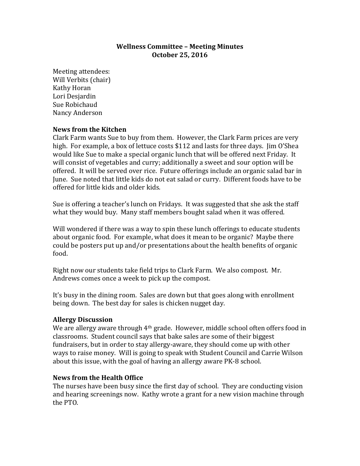## **Wellness Committee – Meeting Minutes October 25, 2016**

Meeting attendees: Will Verbits (chair) Kathy Horan Lori Desjardin Sue Robichaud Nancy Anderson

## **News from the Kitchen**

Clark Farm wants Sue to buy from them. However, the Clark Farm prices are very high. For example, a box of lettuce costs \$112 and lasts for three days. I im O'Shea would like Sue to make a special organic lunch that will be offered next Friday. It will consist of vegetables and curry; additionally a sweet and sour option will be offered. It will be served over rice. Future offerings include an organic salad bar in June. Sue noted that little kids do not eat salad or curry. Different foods have to be offered for little kids and older kids.

Sue is offering a teacher's lunch on Fridays. It was suggested that she ask the staff what they would buy. Many staff members bought salad when it was offered.

Will wondered if there was a way to spin these lunch offerings to educate students about organic food. For example, what does it mean to be organic? Maybe there could be posters put up and/or presentations about the health benefits of organic food.

Right now our students take field trips to Clark Farm. We also compost. Mr. Andrews comes once a week to pick up the compost.

It's busy in the dining room. Sales are down but that goes along with enrollment being down. The best day for sales is chicken nugget day.

## **Allergy Discussion**

We are allergy aware through  $4<sup>th</sup>$  grade. However, middle school often offers food in classrooms. Student council says that bake sales are some of their biggest fundraisers, but in order to stay allergy-aware, they should come up with other ways to raise money. Will is going to speak with Student Council and Carrie Wilson about this issue, with the goal of having an allergy aware PK-8 school.

## **News from the Health Office**

The nurses have been busy since the first day of school. They are conducting vision and hearing screenings now. Kathy wrote a grant for a new vision machine through the PTO.